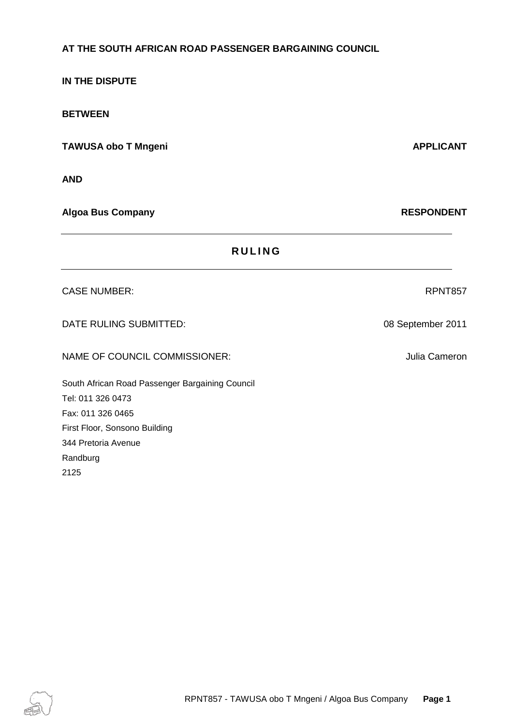# **AT THE SOUTH AFRICAN ROAD PASSENGER BARGAINING COUNCIL**

**IN THE DISPUTE**

**BETWEEN**

**TAWUSA obo T Mngeni APPLICANT** 

**AND**

**Algoa Bus Company RESPONDENT**

344 Pretoria Avenue

Randburg

2125

| <b>RULING</b>                                   |                   |
|-------------------------------------------------|-------------------|
| <b>CASE NUMBER:</b>                             | RPNT857           |
| DATE RULING SUBMITTED:                          | 08 September 2011 |
| NAME OF COUNCIL COMMISSIONER:                   | Julia Cameron     |
| South African Road Passenger Bargaining Council |                   |
| Tel: 011 326 0473                               |                   |
| Fax: 011 326 0465                               |                   |
| First Floor, Sonsono Building                   |                   |

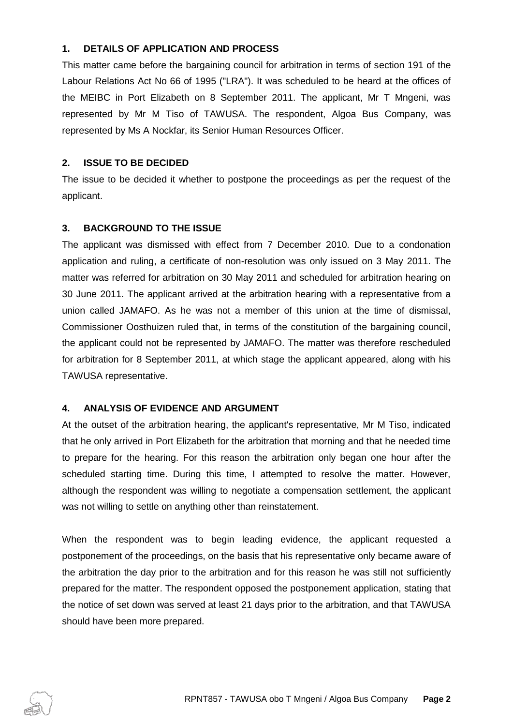## **1. DETAILS OF APPLICATION AND PROCESS**

This matter came before the bargaining council for arbitration in terms of section 191 of the Labour Relations Act No 66 of 1995 ("LRA"). It was scheduled to be heard at the offices of the MEIBC in Port Elizabeth on 8 September 2011. The applicant, Mr T Mngeni, was represented by Mr M Tiso of TAWUSA. The respondent, Algoa Bus Company, was represented by Ms A Nockfar, its Senior Human Resources Officer.

### **2. ISSUE TO BE DECIDED**

The issue to be decided it whether to postpone the proceedings as per the request of the applicant.

#### **3. BACKGROUND TO THE ISSUE**

The applicant was dismissed with effect from 7 December 2010. Due to a condonation application and ruling, a certificate of non-resolution was only issued on 3 May 2011. The matter was referred for arbitration on 30 May 2011 and scheduled for arbitration hearing on 30 June 2011. The applicant arrived at the arbitration hearing with a representative from a union called JAMAFO. As he was not a member of this union at the time of dismissal, Commissioner Oosthuizen ruled that, in terms of the constitution of the bargaining council, the applicant could not be represented by JAMAFO. The matter was therefore rescheduled for arbitration for 8 September 2011, at which stage the applicant appeared, along with his TAWUSA representative.

## **4. ANALYSIS OF EVIDENCE AND ARGUMENT**

At the outset of the arbitration hearing, the applicant's representative, Mr M Tiso, indicated that he only arrived in Port Elizabeth for the arbitration that morning and that he needed time to prepare for the hearing. For this reason the arbitration only began one hour after the scheduled starting time. During this time, I attempted to resolve the matter. However, although the respondent was willing to negotiate a compensation settlement, the applicant was not willing to settle on anything other than reinstatement.

When the respondent was to begin leading evidence, the applicant requested a postponement of the proceedings, on the basis that his representative only became aware of the arbitration the day prior to the arbitration and for this reason he was still not sufficiently prepared for the matter. The respondent opposed the postponement application, stating that the notice of set down was served at least 21 days prior to the arbitration, and that TAWUSA should have been more prepared.